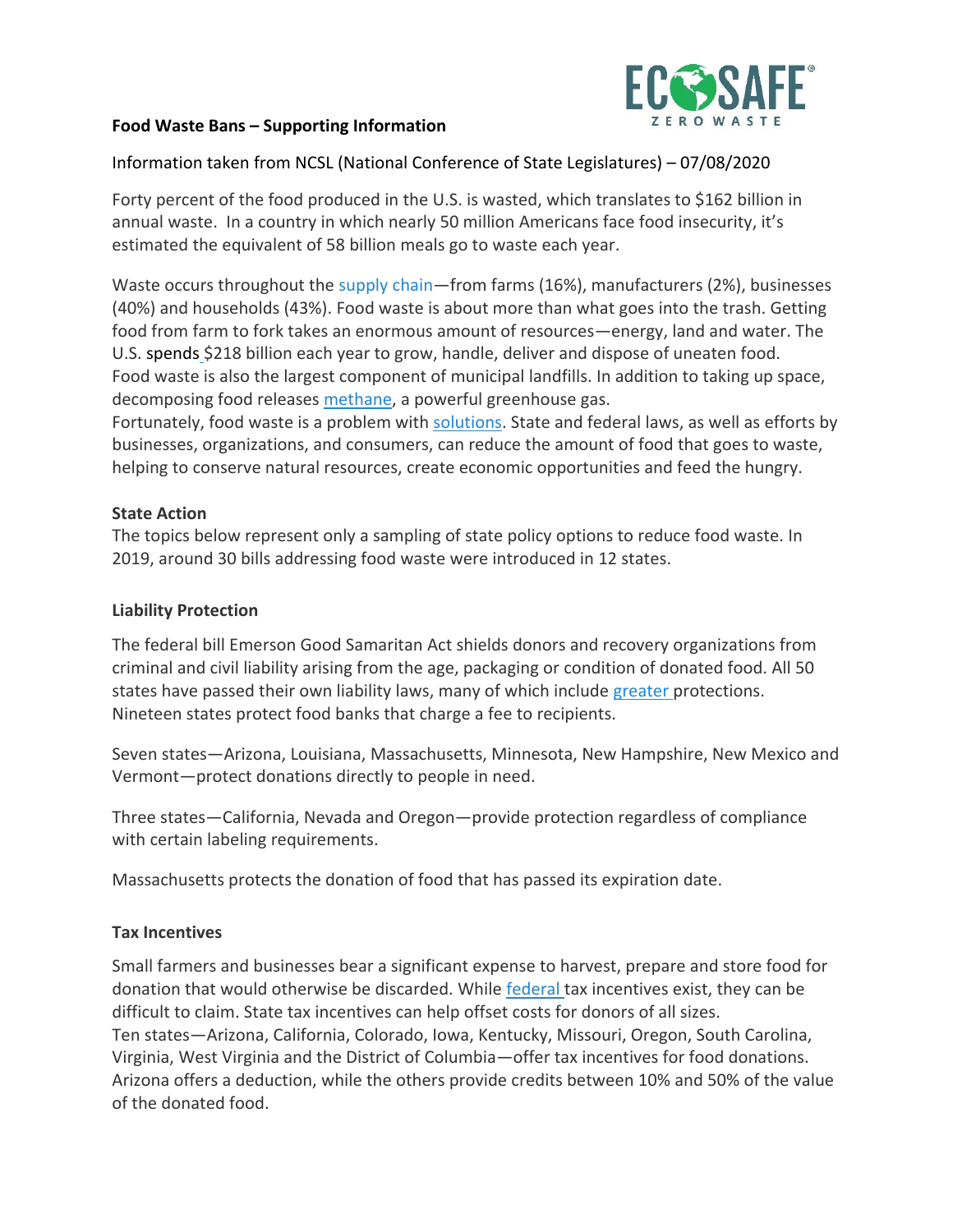

### **Food Waste Bans – Supporting Information**

## Information taken from NCSL (National Conference of State Legislatures) – 07/08/2020

Forty percent of the food produced in the U.S. is wasted, which translates to \$162 billion in annual waste. In a country in which nearly 50 million Americans face food insecurity, it's estimated the equivalent of 58 billion meals go to waste each year.

Waste occurs throughout the [supply](https://www.nrdc.org/sites/default/files/wasted-2017-report.pdf) chain—from farms (16%), manufacturers (2%), businesses (40%) and households (43%). Food waste is about more than what goes into the trash. Getting food from farm to fork takes an enormous amount of resources—energy, land and water. The U.S. [spends](http://www.refed.com/) \$218 billion each year to grow, handle, deliver and dispose of uneaten food. Food waste is also the largest component of municipal landfills. In addition to taking up space, decomposing food releases [methane,](https://www.epa.gov/lmop/basic-information-about-landfill-gas) a powerful greenhouse gas.

Fortunately, food waste is a problem with [solutions.](http://www.refed.com/solutions/?sort=economic-value-per-ton) State and federal laws, as well as efforts by businesses, organizations, and consumers, can reduce the amount of food that goes to waste, helping to conserve natural resources, create economic opportunities and feed the hungry.

### **State Action**

The topics below represent only a sampling of state policy options to reduce food waste. In 2019, around 30 bills addressing food waste were introduced in 12 states.

#### **Liability Protection**

The federal bill Emerson Good Samaritan Act shields donors and recovery organizations from criminal and civil liability arising from the age, packaging or condition of donated food. All 50 states have passed their own liability laws, many of which include [greater](http://www.refed.com/tools/food-waste-policy-finder/) protections. Nineteen states protect food banks that charge a fee to recipients.

Seven states—Arizona, Louisiana, Massachusetts, Minnesota, New Hampshire, New Mexico and Vermont—protect donations directly to people in need.

Three states—California, Nevada and Oregon—provide protection regardless of compliance with certain labeling requirements.

Massachusetts protects the donation of food that has passed its expiration date.

## **Tax Incentives**

Small farmers and businesses bear a significant expense to harvest, prepare and store food for donation that would otherwise be discarded. While [federal](http://www.refed.com/tools/food-waste-policy-finder/federal-policy/federal-tax-incentives) tax incentives exist, they can be difficult to claim. State tax incentives can help offset costs for donors of all sizes. Ten states—Arizona, California, Colorado, Iowa, Kentucky, Missouri, Oregon, South Carolina, Virginia, West Virginia and the District of Columbia—offer tax incentives for food donations. Arizona offers a deduction, while the others provide credits between 10% and 50% of the value of the donated food.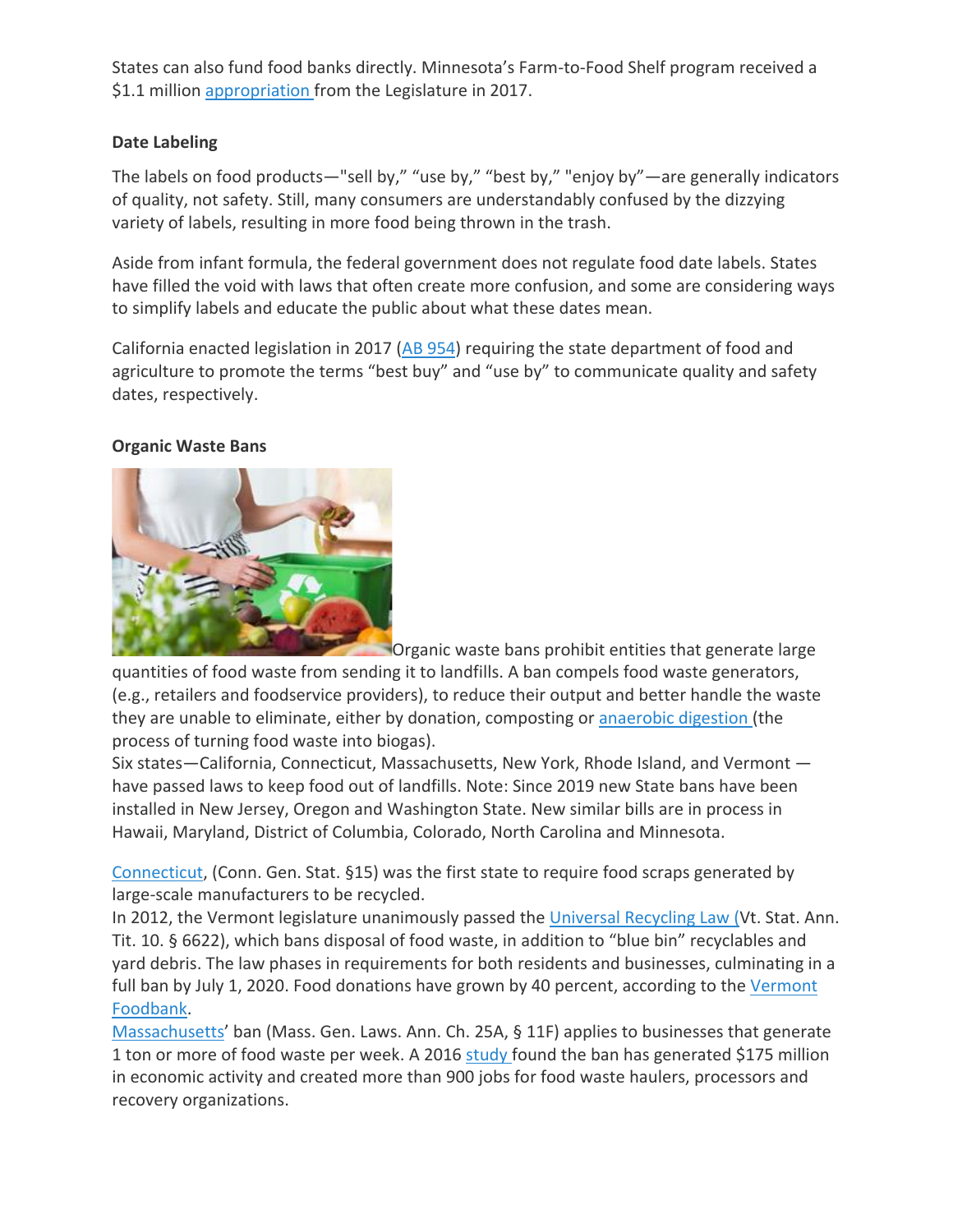States can also fund food banks directly. Minnesota's Farm-to-Food Shelf program received a \$1.1 million [appropriation](http://support.2harvest.org/pdf/press_releases/FINAL%20RELEASE%20Farm%20to%20Food%20Shelf%205%2031%2017.pdf) from the Legislature in 2017.

## **Date Labeling**

The labels on food products—"sell by," "use by," "best by," "enjoy by"—are generally indicators of quality, not safety. Still, many consumers are understandably confused by the dizzying variety of labels, resulting in more food being thrown in the trash.

Aside from infant formula, the federal government does not regulate food date labels. States have filled the void with laws that often create more confusion, and some are considering ways to simplify labels and educate the public about what these dates mean.

California enacted legislation in 2017 ( $\overline{AB}$  [954\)](https://leginfo.legislature.ca.gov/faces/billTextClient.xhtml?bill_id=201720180AB954) requiring the state department of food and agriculture to promote the terms "best buy" and "use by" to communicate quality and safety dates, respectively.

### **Organic Waste Bans**



**Organic waste bans prohibit entities that generate large** 

quantities of food waste from sending it to landfills. A ban compels food waste generators, (e.g., retailers and foodservice providers), to reduce their output and better handle the waste they are unable to eliminate, either by donation, composting or [anaerobic](https://www.americanbiogascouncil.org/biogas_what.asp) digestion (the process of turning food waste into biogas).

Six states—California, Connecticut, Massachusetts, New York, Rhode Island, and Vermont have passed laws to keep food out of landfills. Note: Since 2019 new State bans have been installed in New Jersey, Oregon and Washington State. New similar bills are in process in Hawaii, Maryland, District of Columbia, Colorado, North Carolina and Minnesota.

[Connecticut,](https://ilsr.org/rule/food-scrap-ban/connecticut-organics-recovery/) (Conn. Gen. Stat. §15) was the first state to require food scraps generated by large-scale manufacturers to be recycled.

In 2012, the Vermont legislature unanimously passed the [Universal](http://dec.vermont.gov/waste-management/solid/universal-recycling) Recycling Law (Vt. Stat. Ann. Tit. 10. § 6622), which bans disposal of food waste, in addition to "blue bin" recyclables and yard debris. The law phases in requirements for both residents and businesses, culminating in a full ban by July 1, 2020. Food donations have grown by 40 percent, according to the [Vermont](http://dec.vermont.gov/sites/dec/files/wmp/SolidWaste/Documents/Universal.Recycling.Status.Report.Dec_.2016.pdf) [Foodbank.](http://dec.vermont.gov/sites/dec/files/wmp/SolidWaste/Documents/Universal.Recycling.Status.Report.Dec_.2016.pdf)

[Massachusetts](http://www.mass.gov/eea/agencies/massdep/recycle/reduce/food-waste-ban.html)' ban (Mass. Gen. Laws. Ann. Ch. 25A, § 11F) applies to businesses that generate 1 ton or more of food waste per week. A 2016 [study](http://www.mass.gov/eea/docs/dep/recycle/priorities/orgecon-study.pdf) found the ban has generated \$175 million in economic activity and created more than 900 jobs for food waste haulers, processors and recovery organizations.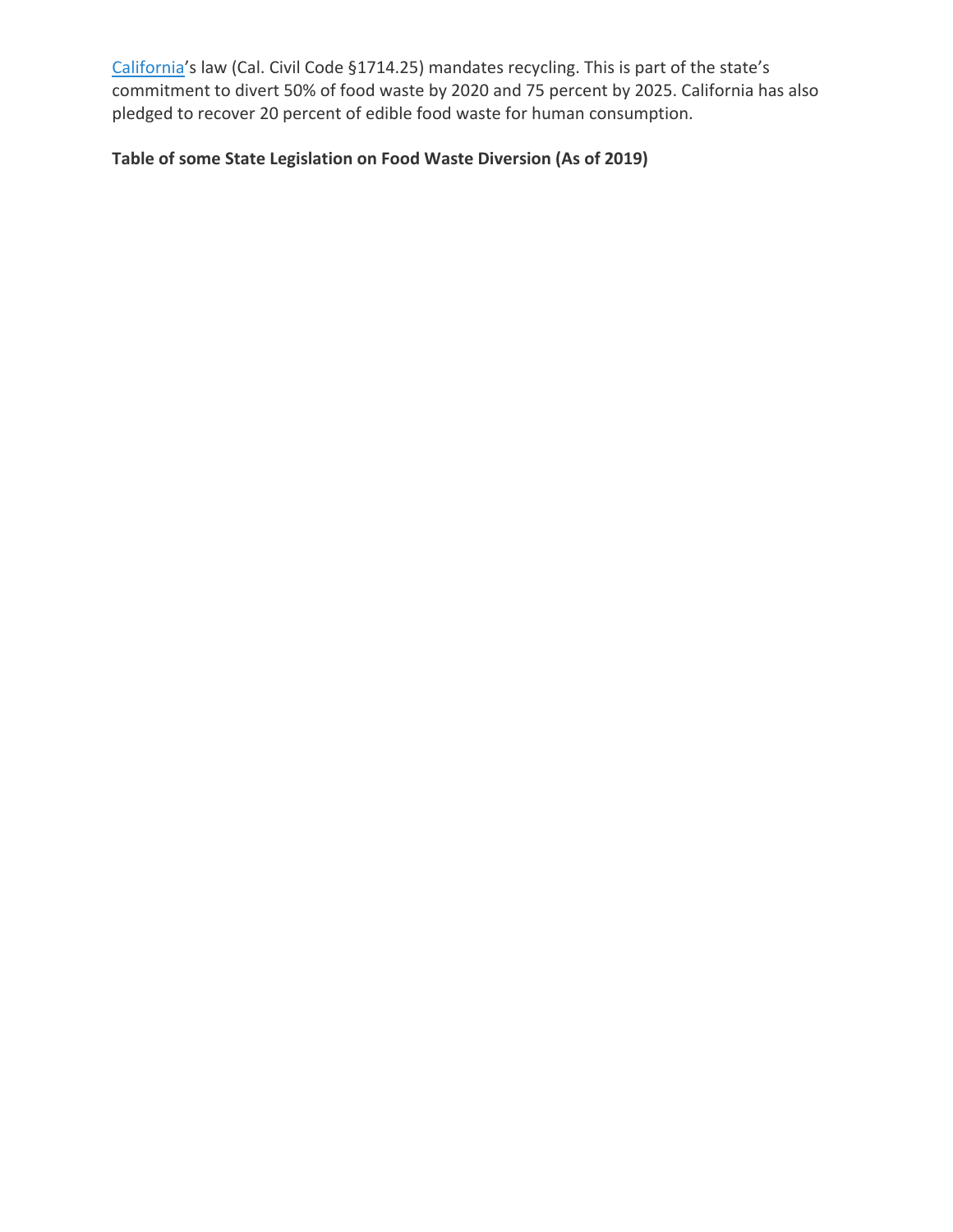[California](http://www.calrecycle.ca.gov/recycle/commercial/organics/)'s law (Cal. Civil Code §1714.25) mandates recycling. This is part of the state's commitment to divert 50% of food waste by 2020 and 75 percent by 2025. California has also pledged to recover 20 percent of edible food waste for human consumption.

# **Table of some State Legislation on Food Waste Diversion (As of 2019)**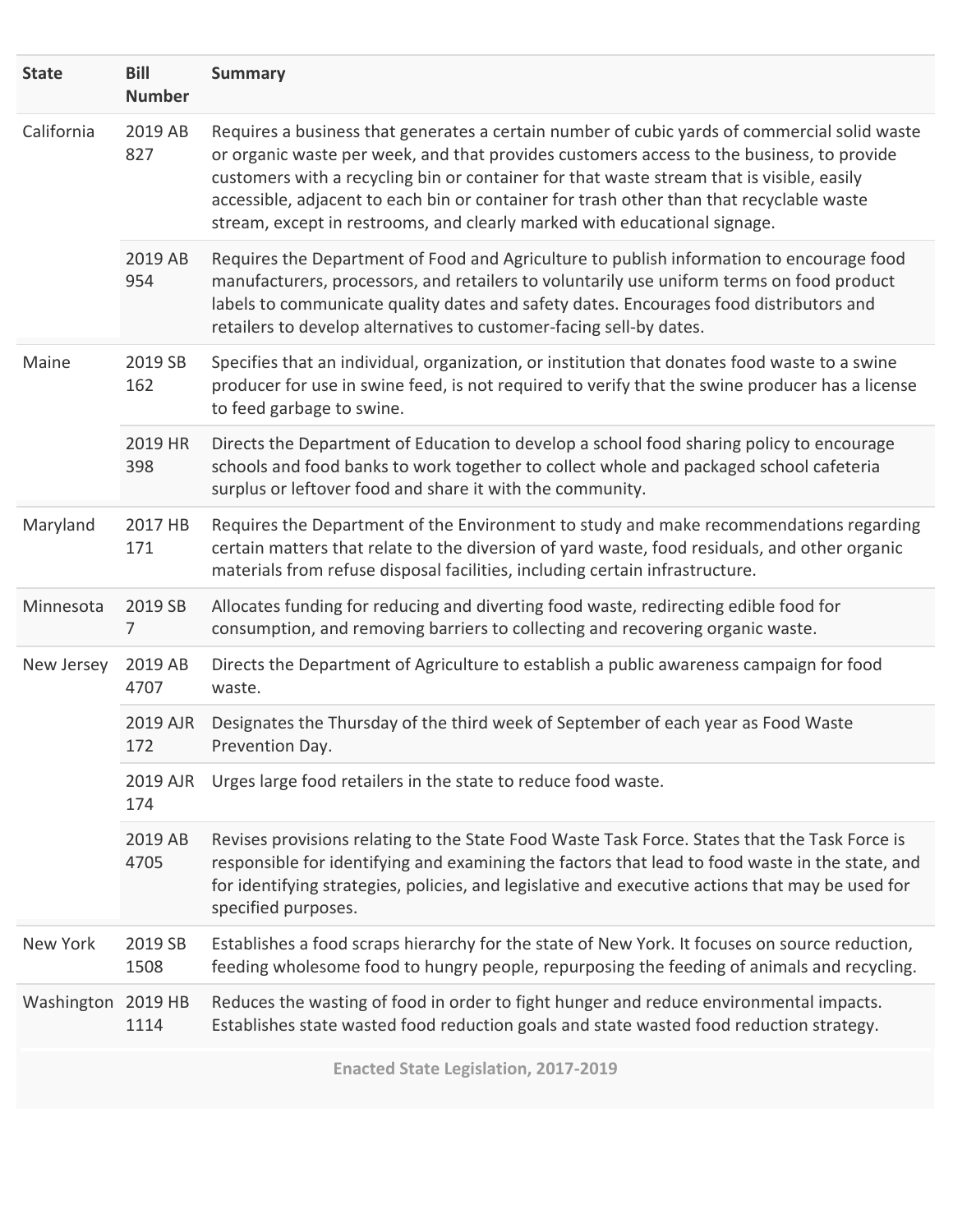| <b>State</b>       | <b>Bill</b><br><b>Number</b> | <b>Summary</b>                                                                                                                                                                                                                                                                                                                                                                                                                                                  |
|--------------------|------------------------------|-----------------------------------------------------------------------------------------------------------------------------------------------------------------------------------------------------------------------------------------------------------------------------------------------------------------------------------------------------------------------------------------------------------------------------------------------------------------|
| California         | 2019 AB<br>827               | Requires a business that generates a certain number of cubic yards of commercial solid waste<br>or organic waste per week, and that provides customers access to the business, to provide<br>customers with a recycling bin or container for that waste stream that is visible, easily<br>accessible, adjacent to each bin or container for trash other than that recyclable waste<br>stream, except in restrooms, and clearly marked with educational signage. |
|                    | 2019 AB<br>954               | Requires the Department of Food and Agriculture to publish information to encourage food<br>manufacturers, processors, and retailers to voluntarily use uniform terms on food product<br>labels to communicate quality dates and safety dates. Encourages food distributors and<br>retailers to develop alternatives to customer-facing sell-by dates.                                                                                                          |
| Maine              | 2019 SB<br>162               | Specifies that an individual, organization, or institution that donates food waste to a swine<br>producer for use in swine feed, is not required to verify that the swine producer has a license<br>to feed garbage to swine.                                                                                                                                                                                                                                   |
|                    | 2019 HR<br>398               | Directs the Department of Education to develop a school food sharing policy to encourage<br>schools and food banks to work together to collect whole and packaged school cafeteria<br>surplus or leftover food and share it with the community.                                                                                                                                                                                                                 |
| Maryland           | 2017 HB<br>171               | Requires the Department of the Environment to study and make recommendations regarding<br>certain matters that relate to the diversion of yard waste, food residuals, and other organic<br>materials from refuse disposal facilities, including certain infrastructure.                                                                                                                                                                                         |
| Minnesota          | 2019 SB<br>7                 | Allocates funding for reducing and diverting food waste, redirecting edible food for<br>consumption, and removing barriers to collecting and recovering organic waste.                                                                                                                                                                                                                                                                                          |
| New Jersey         | 2019 AB<br>4707              | Directs the Department of Agriculture to establish a public awareness campaign for food<br>waste.                                                                                                                                                                                                                                                                                                                                                               |
|                    | 2019 AJR<br>172              | Designates the Thursday of the third week of September of each year as Food Waste<br>Prevention Day.                                                                                                                                                                                                                                                                                                                                                            |
|                    | 2019 AJR<br>174              | Urges large food retailers in the state to reduce food waste.                                                                                                                                                                                                                                                                                                                                                                                                   |
|                    | 2019 AB<br>4705              | Revises provisions relating to the State Food Waste Task Force. States that the Task Force is<br>responsible for identifying and examining the factors that lead to food waste in the state, and<br>for identifying strategies, policies, and legislative and executive actions that may be used for<br>specified purposes.                                                                                                                                     |
| New York           | 2019 SB<br>1508              | Establishes a food scraps hierarchy for the state of New York. It focuses on source reduction,<br>feeding wholesome food to hungry people, repurposing the feeding of animals and recycling.                                                                                                                                                                                                                                                                    |
| Washington 2019 HB | 1114                         | Reduces the wasting of food in order to fight hunger and reduce environmental impacts.<br>Establishes state wasted food reduction goals and state wasted food reduction strategy.                                                                                                                                                                                                                                                                               |

**Enacted State Legislation, 2017-2019**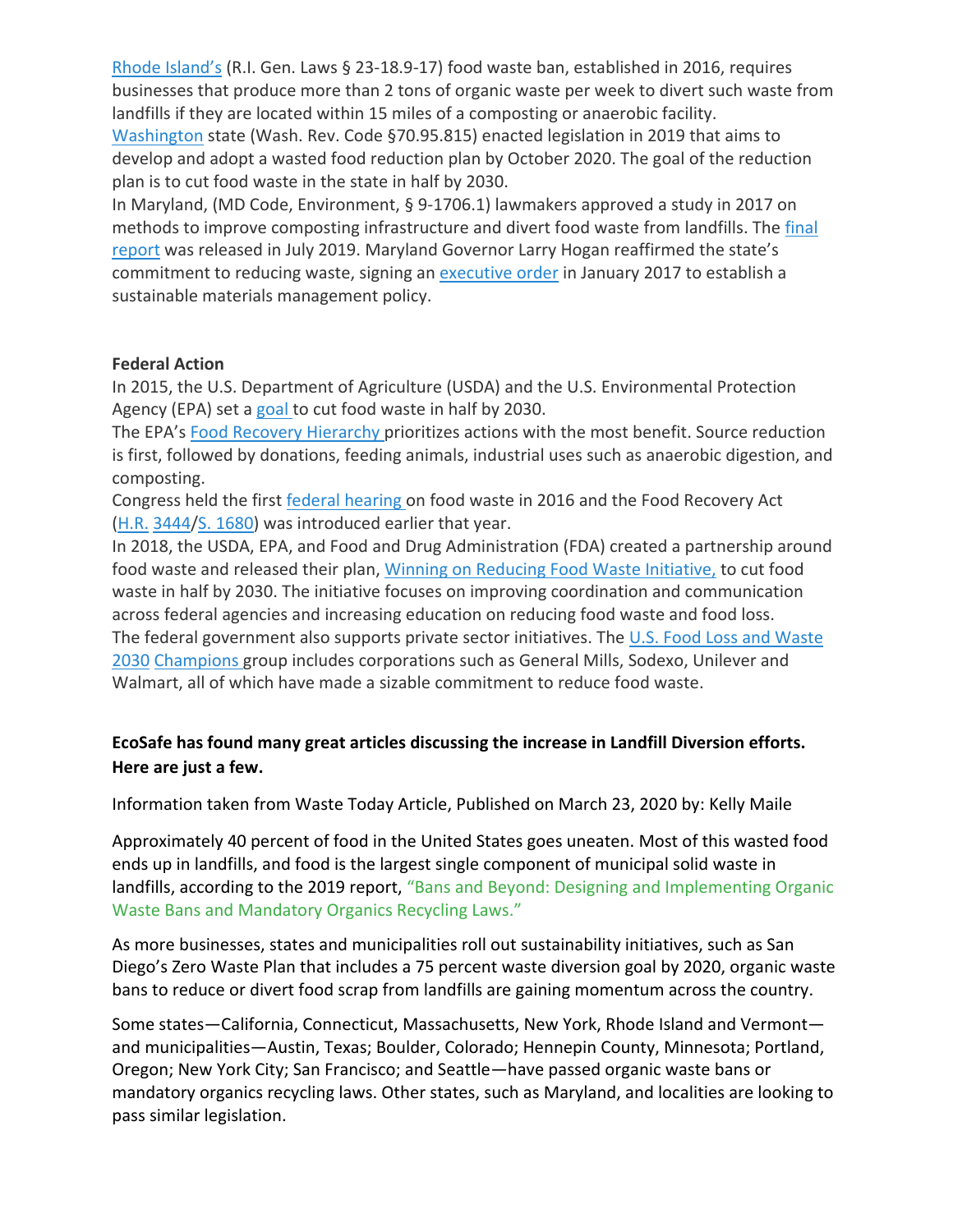Rhode [Island's](https://wastedfood.cetonline.org/states/rhode-island/) (R.I. Gen. Laws § 23-18.9-17) food waste ban, established in 2016, requires businesses that produce more than 2 tons of organic waste per week to divert such waste from landfills if they are located within 15 miles of a composting or anaerobic facility. [Washington](https://www.wastedive.com/news/food-waste-reduction-goal-washington-state-2030/546729/) state (Wash. Rev. Code §70.95.815) enacted legislation in 2019 that aims to

develop and adopt a wasted food reduction plan by October 2020. The goal of the reduction plan is to cut food waste in the state in half by 2030.

In Maryland, (MD Code, Environment, § 9-1706.1) lawmakers approved a study in 2017 on methods to improve composting infrastructure and divert food waste from landfills. The [final](https://mde.maryland.gov/programs/LAND/RMP/Documents/HB%20171%20final%20report.pdf) [report](https://mde.maryland.gov/programs/LAND/RMP/Documents/HB%20171%20final%20report.pdf) was released in July 2019. Maryland Governor Larry Hogan reaffirmed the state's commitment to reducing waste, signing an [executive](https://mde.maryland.gov/programs/LAND/RecyclingandOperationsprogram/Documents/EO-01.01.2017.13.pdf) order in January 2017 to establish a sustainable materials management policy.

### **Federal Action**

In 2015, the U.S. Department of Agriculture (USDA) and the U.S. Environmental Protection Agency (EPA) set a [goal](https://www.usda.gov/media/press-releases/2015/09/16/usda-and-epa-join-private-sector-charitable-organizations-set) to cut food waste in half by 2030.

The EPA's Food Recovery [Hierarchy](https://www.epa.gov/sustainable-management-food/food-recovery-hierarchy) prioritizes actions with the most benefit. Source reduction is first, followed by donations, feeding animals, industrial uses such as anaerobic digestion, and composting.

Congress held the first federal [hearing](https://www.chlpi.org/wp-content/uploads/2013/12/Opportunities-to-Reduce-Food-Waste-in-the-2018-Farm-Bill_May-2017.pdf) on food waste in 2016 and the Food Recovery Act [\(H.R.](https://www.congress.gov/bill/115th-congress/house-bill/3444) [3444/](https://www.congress.gov/bill/115th-congress/house-bill/3444)S. [1680\)](https://www.congress.gov/bill/115th-congress/senate-bill/1680) was introduced earlier that year.

In 2018, the USDA, EPA, and Food and Drug Administration (FDA) created a partnership around food waste and released their plan, Winning on Reducing Food Waste [Initiative,](https://www.usda.gov/media/press-releases/2018/10/18/trump-administration-launches-winning-reducing-food-waste) to cut food waste in half by 2030. The initiative focuses on improving coordination and communication across federal agencies and increasing education on reducing food waste and food loss. The federal government also supports private sector initiatives. The U.S. Food Loss and [Waste](https://www.epa.gov/sustainable-management-food/united-states-food-loss-and-waste-2030-champions) [2030](https://www.epa.gov/sustainable-management-food/united-states-food-loss-and-waste-2030-champions) [Champions](https://www.epa.gov/sustainable-management-food/united-states-food-loss-and-waste-2030-champions) group includes corporations such as General Mills, Sodexo, Unilever and Walmart, all of which have made a sizable commitment to reduce food waste.

# **EcoSafe has found many great articles discussing the increase in Landfill Diversion efforts. Here are just a few.**

Information taken from Waste Today Article, Published on March 23, 2020 by: Kelly Maile

Approximately 40 percent of food in the United States goes uneaten. Most of this wasted food ends up in landfills, and food is the largest single component of municipal solid waste in landfills, according to the 2019 report, "Bans and Beyond: Designing and Implementing Organic [Waste Bans and Mandatory Organics Recycling Laws."](https://www.chlpi.org/wp-content/uploads/2013/12/Organic-Waste-Bans_FINAL-compressed.pdf)

As more businesses, states and municipalities roll out sustainability initiatives, such as San Diego's Zero Waste Plan that includes a 75 percent waste diversion goal by 2020, organic waste bans to reduce or divert food scrap from landfills are gaining momentum across the country.

Some states—California, Connecticut, Massachusetts, New York, Rhode Island and Vermont and municipalities—Austin, Texas; Boulder, Colorado; Hennepin County, Minnesota; Portland, Oregon; New York City; San Francisco; and Seattle—have passed organic waste bans or mandatory organics recycling laws. Other states, such as Maryland, and localities are looking to pass similar legislation.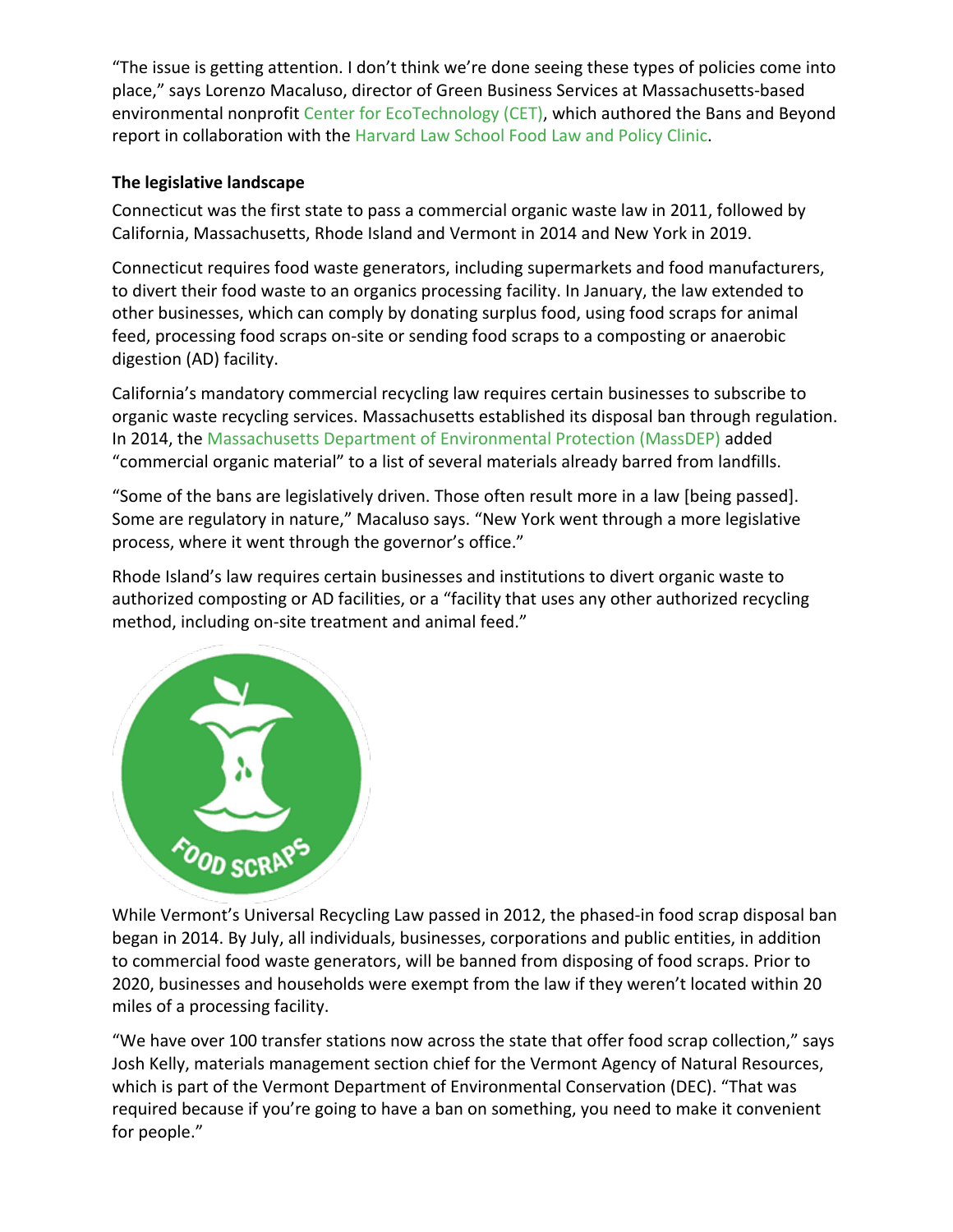"The issue is getting attention. I don't think we're done seeing these types of policies come into place," says Lorenzo Macaluso, director of Green Business Services at Massachusetts-based environmental nonprofit [Center for EcoTechnology \(CET\),](https://www.centerforecotechnology.org/) which authored the Bans and Beyond report in collaboration with the [Harvard Law School Food Law and Policy Clinic.](https://hls.harvard.edu/dept/clinical/clinics/food-law-and-policy-clinic-of-the-center-for-health-law-and-policy-innovation/)

## **The legislative landscape**

Connecticut was the first state to pass a commercial organic waste law in 2011, followed by California, Massachusetts, Rhode Island and Vermont in 2014 and New York in 2019.

Connecticut requires food waste generators, including supermarkets and food manufacturers, to divert their food waste to an organics processing facility. In January, the law extended to other businesses, which can comply by donating surplus food, using food scraps for animal feed, processing food scraps on-site or sending food scraps to a composting or anaerobic digestion (AD) facility.

California's mandatory commercial recycling law requires certain businesses to subscribe to organic waste recycling services. Massachusetts established its disposal ban through regulation. In 2014, the [Massachusetts Department of Environmental Protection \(MassDEP\)](https://www.mass.gov/orgs/massachusetts-department-of-environmental-protection) added "commercial organic material" to a list of several materials already barred from landfills.

"Some of the bans are legislatively driven. Those often result more in a law [being passed]. Some are regulatory in nature," Macaluso says. "New York went through a more legislative process, where it went through the governor's office."

Rhode Island's law requires certain businesses and institutions to divert organic waste to authorized composting or AD facilities, or a "facility that uses any other authorized recycling method, including on-site treatment and animal feed."



While Vermont's Universal Recycling Law passed in 2012, the phased-in food scrap disposal ban began in 2014. By July, all individuals, businesses, corporations and public entities, in addition to commercial food waste generators, will be banned from disposing of food scraps. Prior to 2020, businesses and households were exempt from the law if they weren't located within 20 miles of a processing facility.

"We have over 100 transfer stations now across the state that offer food scrap collection," says Josh Kelly, materials management section chief for the Vermont Agency of Natural Resources, which is part of the Vermont Department of Environmental Conservation (DEC). "That was required because if you're going to have a ban on something, you need to make it convenient for people."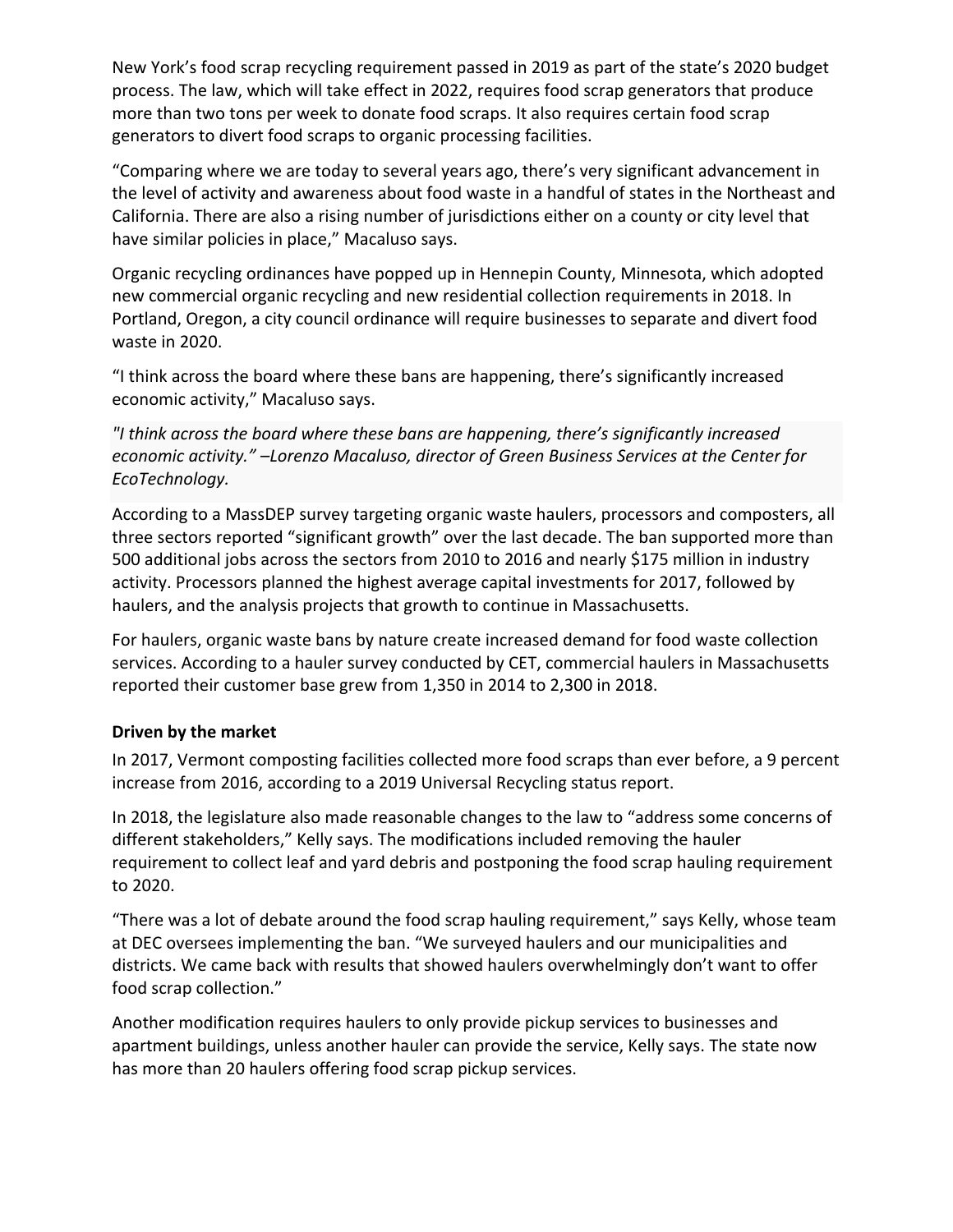New York's food scrap recycling requirement passed in 2019 as part of the state's 2020 budget process. The law, which will take effect in 2022, requires food scrap generators that produce more than two tons per week to donate food scraps. It also requires certain food scrap generators to divert food scraps to organic processing facilities.

"Comparing where we are today to several years ago, there's very significant advancement in the level of activity and awareness about food waste in a handful of states in the Northeast and California. There are also a rising number of jurisdictions either on a county or city level that have similar policies in place," Macaluso says.

Organic recycling ordinances have popped up in Hennepin County, Minnesota, which adopted new commercial organic recycling and new residential collection requirements in 2018. In Portland, Oregon, a city council ordinance will require businesses to separate and divert food waste in 2020.

"I think across the board where these bans are happening, there's significantly increased economic activity," Macaluso says.

*"I think across the board where these bans are happening, there's significantly increased economic activity." –Lorenzo Macaluso, director of Green Business Services at the Center for EcoTechnology.*

According to a MassDEP survey targeting organic waste haulers, processors and composters, all three sectors reported "significant growth" over the last decade. The ban supported more than 500 additional jobs across the sectors from 2010 to 2016 and nearly \$175 million in industry activity. Processors planned the highest average capital investments for 2017, followed by haulers, and the analysis projects that growth to continue in Massachusetts.

For haulers, organic waste bans by nature create increased demand for food waste collection services. According to a hauler survey conducted by CET, commercial haulers in Massachusetts reported their customer base grew from 1,350 in 2014 to 2,300 in 2018.

## **Driven by the market**

In 2017, Vermont composting facilities collected more food scraps than ever before, a 9 percent increase from 2016, according to a 2019 Universal Recycling status report.

In 2018, the legislature also made reasonable changes to the law to "address some concerns of different stakeholders," Kelly says. The modifications included removing the hauler requirement to collect leaf and yard debris and postponing the food scrap hauling requirement to 2020.

"There was a lot of debate around the food scrap hauling requirement," says Kelly, whose team at DEC oversees implementing the ban. "We surveyed haulers and our municipalities and districts. We came back with results that showed haulers overwhelmingly don't want to offer food scrap collection."

Another modification requires haulers to only provide pickup services to businesses and apartment buildings, unless another hauler can provide the service, Kelly says. The state now has more than 20 haulers offering food scrap pickup services.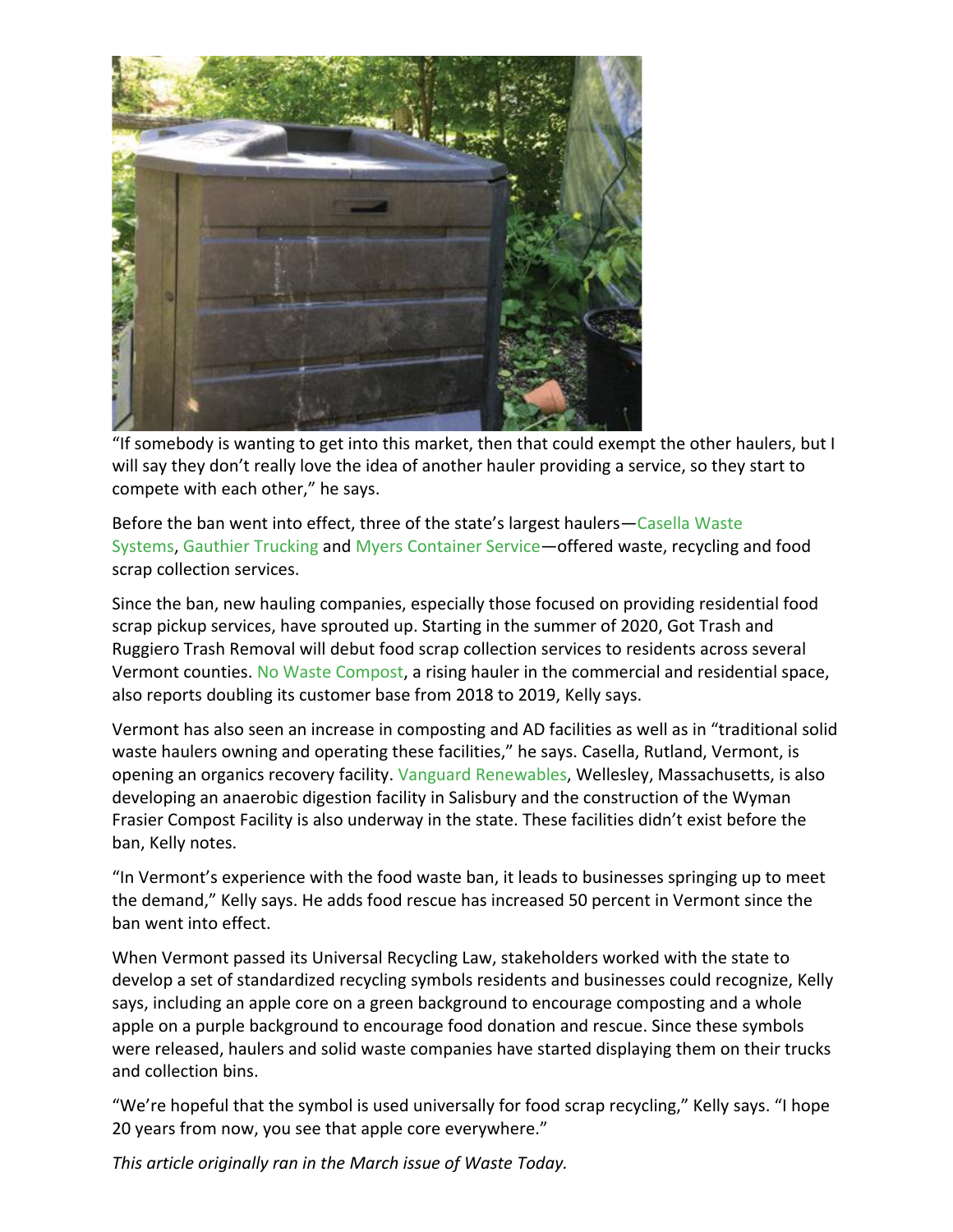

"If somebody is wanting to get into this market, then that could exempt the other haulers, but I will say they don't really love the idea of another hauler providing a service, so they start to compete with each other," he says.

Before the ban went into effect, three of the state's largest haulers—[Casella Waste](https://www.casella.com/)  [Systems,](https://www.casella.com/) [Gauthier Trucking](http://www.gauthiertruckingvt.com/) and [Myers Container Service](https://www.theredcanfamily.com/)—offered waste, recycling and food scrap collection services.

Since the ban, new hauling companies, especially those focused on providing residential food scrap pickup services, have sprouted up. Starting in the summer of 2020, Got Trash and Ruggiero Trash Removal will debut food scrap collection services to residents across several Vermont counties. [No Waste Compost,](https://www.nowastecompost.com/) a rising hauler in the commercial and residential space, also reports doubling its customer base from 2018 to 2019, Kelly says.

Vermont has also seen an increase in composting and AD facilities as well as in "traditional solid waste haulers owning and operating these facilities," he says. Casella, Rutland, Vermont, is opening an organics recovery facility. [Vanguard Renewables,](https://vanguardrenewables.com/) Wellesley, Massachusetts, is also developing an anaerobic digestion facility in Salisbury and the construction of the Wyman Frasier Compost Facility is also underway in the state. These facilities didn't exist before the ban, Kelly notes.

"In Vermont's experience with the food waste ban, it leads to businesses springing up to meet the demand," Kelly says. He adds food rescue has increased 50 percent in Vermont since the ban went into effect.

When Vermont passed its Universal Recycling Law, stakeholders worked with the state to develop a set of standardized recycling symbols residents and businesses could recognize, Kelly says, including an apple core on a green background to encourage composting and a whole apple on a purple background to encourage food donation and rescue. Since these symbols were released, haulers and solid waste companies have started displaying them on their trucks and collection bins.

"We're hopeful that the symbol is used universally for food scrap recycling," Kelly says. "I hope 20 years from now, you see that apple core everywhere."

*This article originally ran in the March issue of Waste Today.*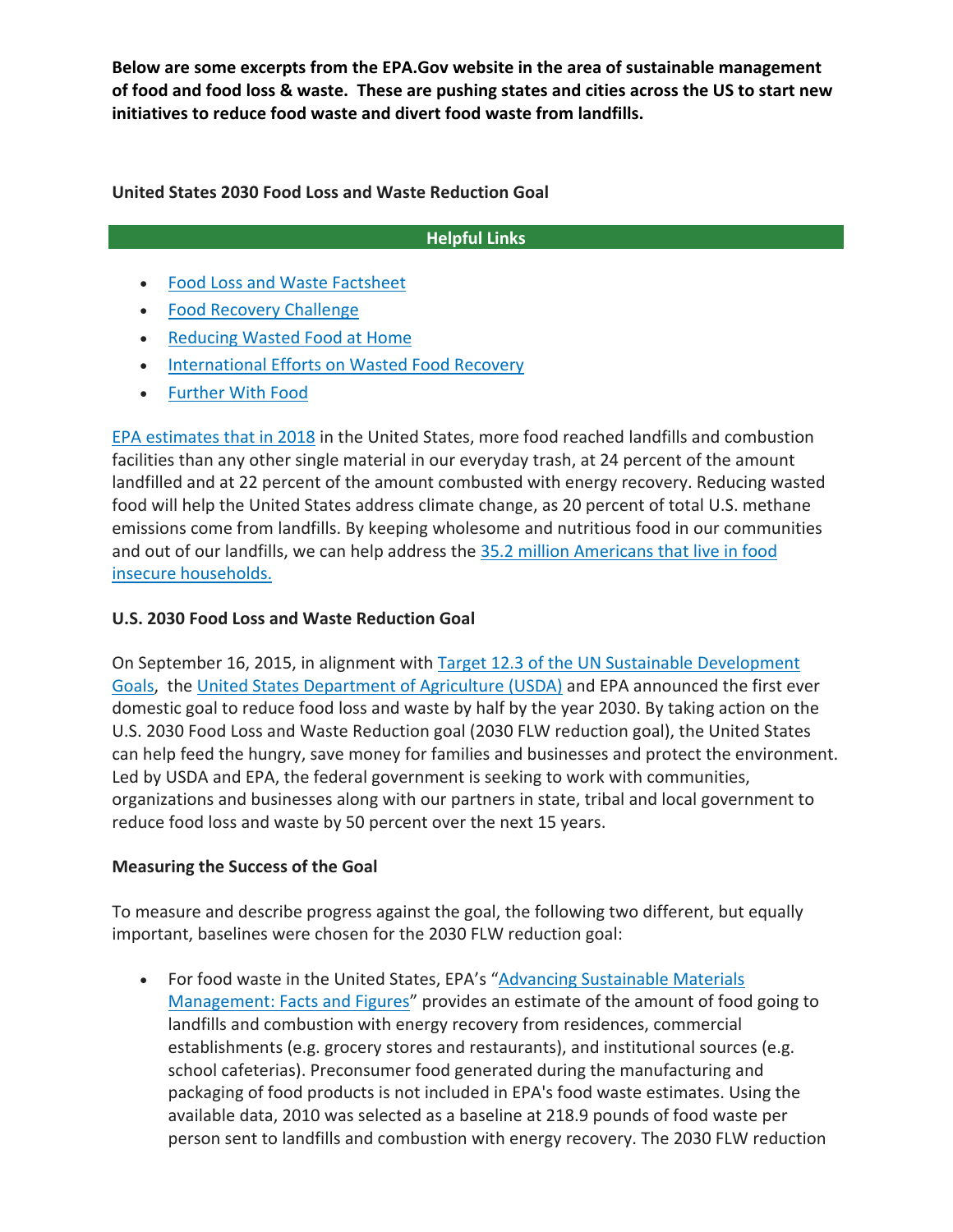**Below are some excerpts from the EPA.Gov website in the area of sustainable management of food and food loss & waste. These are pushing states and cities across the US to start new initiatives to reduce food waste and divert food waste from landfills.**

**United States 2030 Food Loss and Waste Reduction Goal**

## **Helpful Links**

- [Food Loss and Waste Factsheet](https://www.epa.gov/sustainable-management-food/food-loss-and-waste-factsheet)
- [Food Recovery Challenge](https://www.epa.gov/sustainable-management-food/learn-about-food-recovery-challenge-frc)
- [Reducing Wasted Food at Home](https://www.epa.gov/recycle/reducing-wasted-food-home)
- [International Efforts on Wasted Food Recovery](https://www.epa.gov/international-cooperation/international-efforts-wasted-food-recovery)
- [Further With Food](http://www.furtherwithfood.org/)

[EPA estimates that in 2018](https://www.epa.gov/facts-and-figures-about-materials-waste-and-recycling/food-material-specific-data) in the United States, more food reached landfills and combustion facilities than any other single material in our everyday trash, at 24 percent of the amount landfilled and at 22 percent of the amount combusted with energy recovery. Reducing wasted food will help the United States address climate change, as 20 percent of total U.S. methane emissions come from landfills. By keeping wholesome and nutritious food in our communities and out of our landfills, we can help address the 35.2 million Americans that live in food [insecure households.](https://www.ers.usda.gov/webdocs/publications/99282/err-275.pdf?v=6575.5)

### **U.S. 2030 Food Loss and Waste Reduction Goal**

On September 16, 2015, in alignment with [Target 12.3 of the UN Sustainable Development](https://sustainabledevelopment.un.org/sdg12)  [Goals,](https://sustainabledevelopment.un.org/sdg12) the [United States Department of Agriculture \(USDA\)](https://www.usda.gov/foodlossandwaste) and EPA announced the first ever domestic goal to reduce food loss and waste by half by the year 2030. By taking action on the U.S. 2030 Food Loss and Waste Reduction goal (2030 FLW reduction goal), the United States can help feed the hungry, save money for families and businesses and protect the environment. Led by USDA and EPA, the federal government is seeking to work with communities, organizations and businesses along with our partners in state, tribal and local government to reduce food loss and waste by 50 percent over the next 15 years.

#### **Measuring the Success of the Goal**

To measure and describe progress against the goal, the following two different, but equally important, baselines were chosen for the 2030 FLW reduction goal:

• For food waste in the United States, EPA's "[Advancing Sustainable Materials](https://www.epa.gov/facts-and-figures-about-materials-waste-and-recycling/advancing-sustainable-materials-management-0)  [Management: Facts and Figures](https://www.epa.gov/facts-and-figures-about-materials-waste-and-recycling/advancing-sustainable-materials-management-0)" provides an estimate of the amount of food going to landfills and combustion with energy recovery from residences, commercial establishments (e.g. grocery stores and restaurants), and institutional sources (e.g. school cafeterias). Preconsumer food generated during the manufacturing and packaging of food products is not included in EPA's food waste estimates. Using the available data, 2010 was selected as a baseline at 218.9 pounds of food waste per person sent to landfills and combustion with energy recovery. The 2030 FLW reduction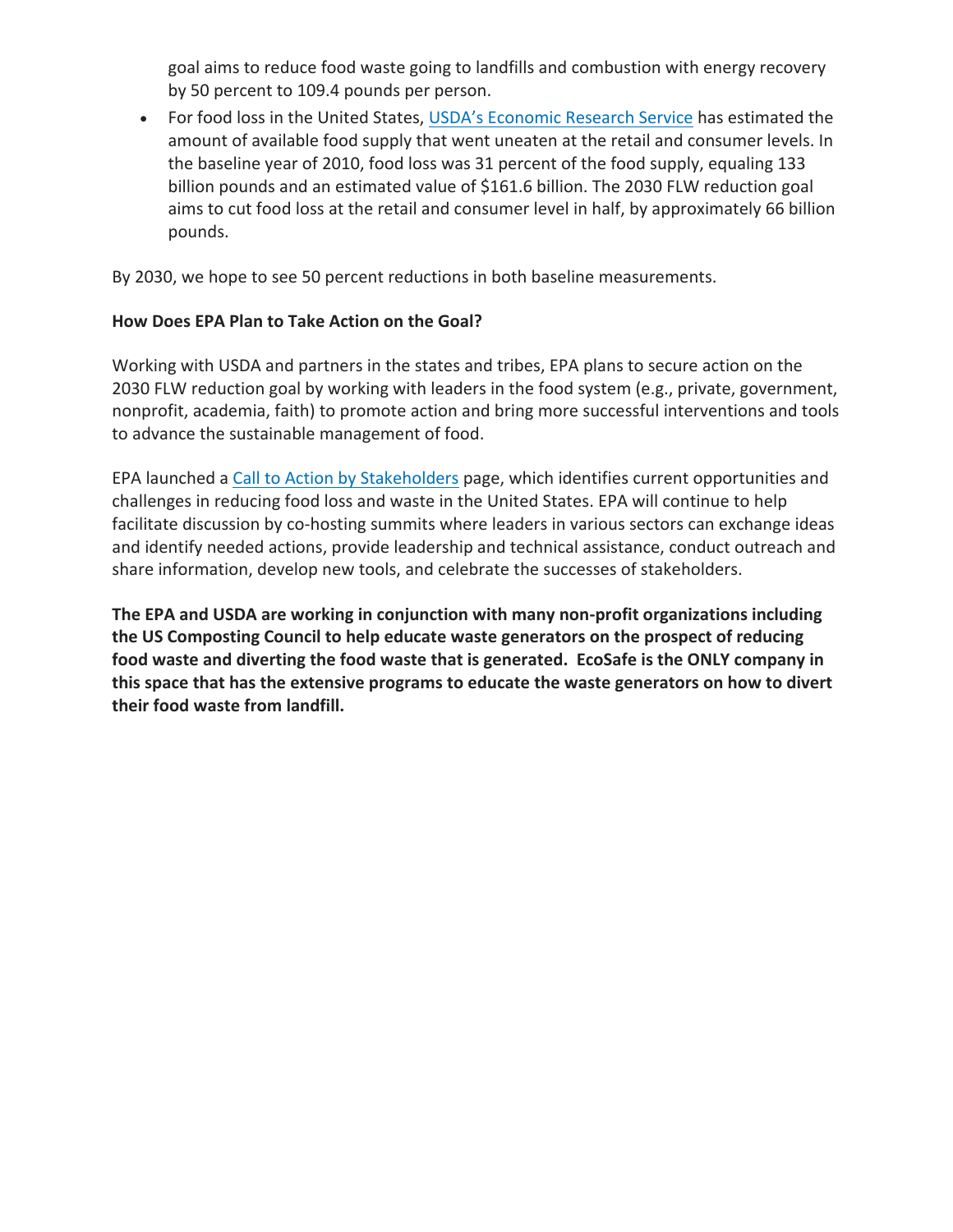goal aims to reduce food waste going to landfills and combustion with energy recovery by 50 percent to 109.4 pounds per person.

• For food loss in the United States, [USDA's Economic Research Service](https://www.ers.usda.gov/publications/pub-details/?pubid=43836) has estimated the amount of available food supply that went uneaten at the retail and consumer levels. In the baseline year of 2010, food loss was 31 percent of the food supply, equaling 133 billion pounds and an estimated value of \$161.6 billion. The 2030 FLW reduction goal aims to cut food loss at the retail and consumer level in half, by approximately 66 billion pounds.

By 2030, we hope to see 50 percent reductions in both baseline measurements.

## **How Does EPA Plan to Take Action on the Goal?**

Working with USDA and partners in the states and tribes, EPA plans to secure action on the 2030 FLW reduction goal by working with leaders in the food system (e.g., private, government, nonprofit, academia, faith) to promote action and bring more successful interventions and tools to advance the sustainable management of food.

EPA launched a [Call to Action by Stakeholders](https://www.epa.gov/sustainable-management-food/call-action-stakeholders-united-states-food-loss-waste-2030-reduction) page, which identifies current opportunities and challenges in reducing food loss and waste in the United States. EPA will continue to help facilitate discussion by co-hosting summits where leaders in various sectors can exchange ideas and identify needed actions, provide leadership and technical assistance, conduct outreach and share information, develop new tools, and celebrate the successes of stakeholders.

**The EPA and USDA are working in conjunction with many non-profit organizations including the US Composting Council to help educate waste generators on the prospect of reducing food waste and diverting the food waste that is generated. EcoSafe is the ONLY company in this space that has the extensive programs to educate the waste generators on how to divert their food waste from landfill.**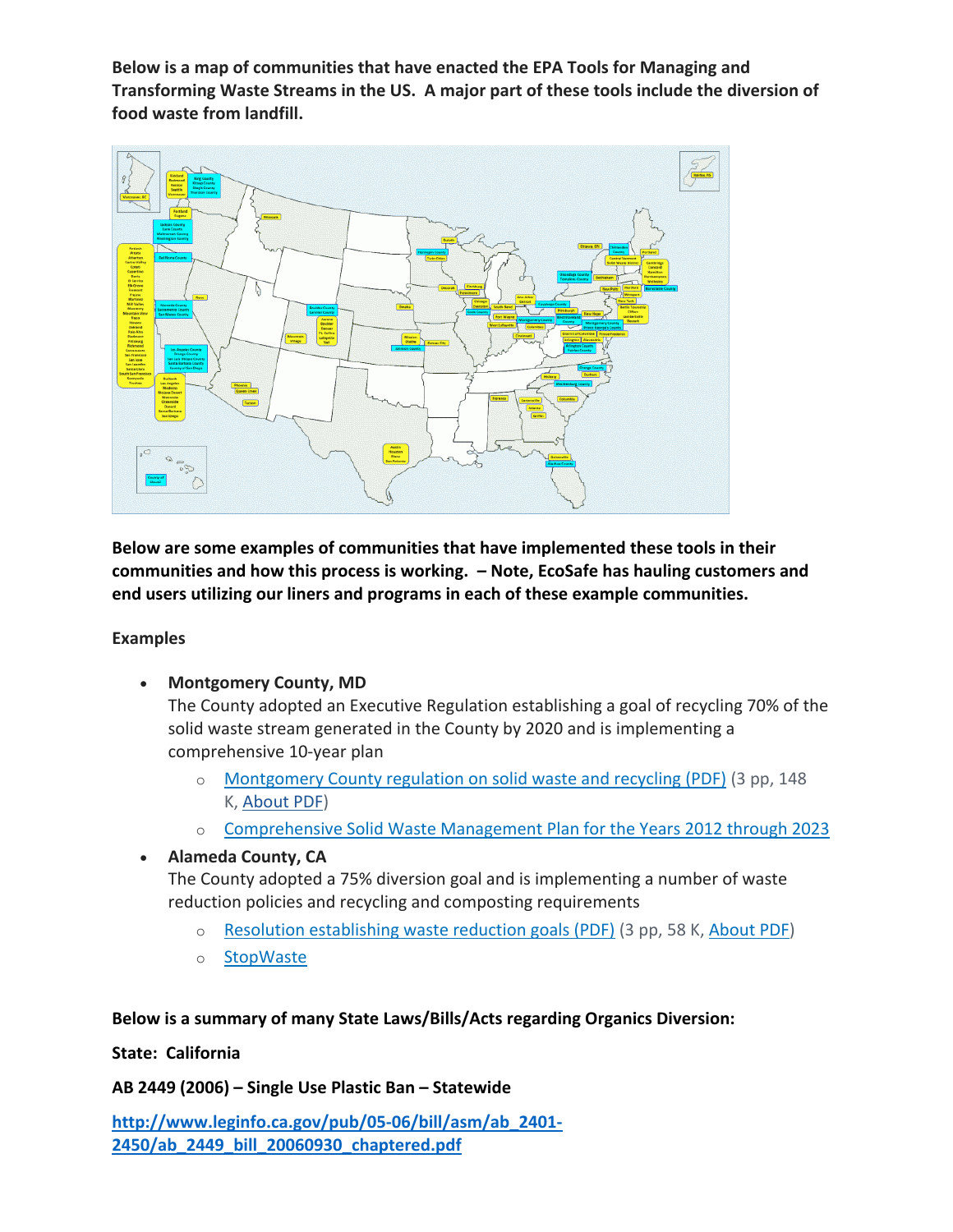**Below is a map of communities that have enacted the EPA Tools for Managing and Transforming Waste Streams in the US. A major part of these tools include the diversion of food waste from landfill.**



**Below are some examples of communities that have implemented these tools in their communities and how this process is working. – Note, EcoSafe has hauling customers and end users utilizing our liners and programs in each of these example communities.**

#### **Examples**

• **Montgomery County, MD**

The County adopted an Executive Regulation establishing a goal of recycling 70% of the solid waste stream generated in the County by 2020 and is implementing a comprehensive 10-year plan

- o [Montgomery County regulation on solid waste and recycling \(PDF\)](https://www.montgomerycountymd.gov/exec/Resources/Files/7-12.pdf) (3 pp, 148 K, [About PDF\)](https://www.epa.gov/home/pdf-files)
- o [Comprehensive Solid Waste Management Plan for the Years 2012 through 2023](https://www.montgomerycountymd.gov/sws/programs/solid-waste-plan.html)

## • **Alameda County, CA**

The County adopted a 75% diversion goal and is implementing a number of waste reduction policies and recycling and composting requirements

- o [Resolution establishing waste reduction goals \(PDF\)](http://www.acgov.org/sustain/documents/75waste_reduction_resolution.pdf) (3 pp, 58 K, [About PDF\)](https://www.epa.gov/home/pdf-files)
- o [StopWaste](https://www.stopwaste.org/)

## **Below is a summary of many State Laws/Bills/Acts regarding Organics Diversion:**

**State: California**

**AB 2449 (2006) – Single Use Plastic Ban – Statewide**

**[http://www.leginfo.ca.gov/pub/05-06/bill/asm/ab\\_2401-](http://www.leginfo.ca.gov/pub/05-06/bill/asm/ab_2401-2450/ab_2449_bill_20060930_chaptered.pdf) [2450/ab\\_2449\\_bill\\_20060930\\_chaptered.pdf](http://www.leginfo.ca.gov/pub/05-06/bill/asm/ab_2401-2450/ab_2449_bill_20060930_chaptered.pdf)**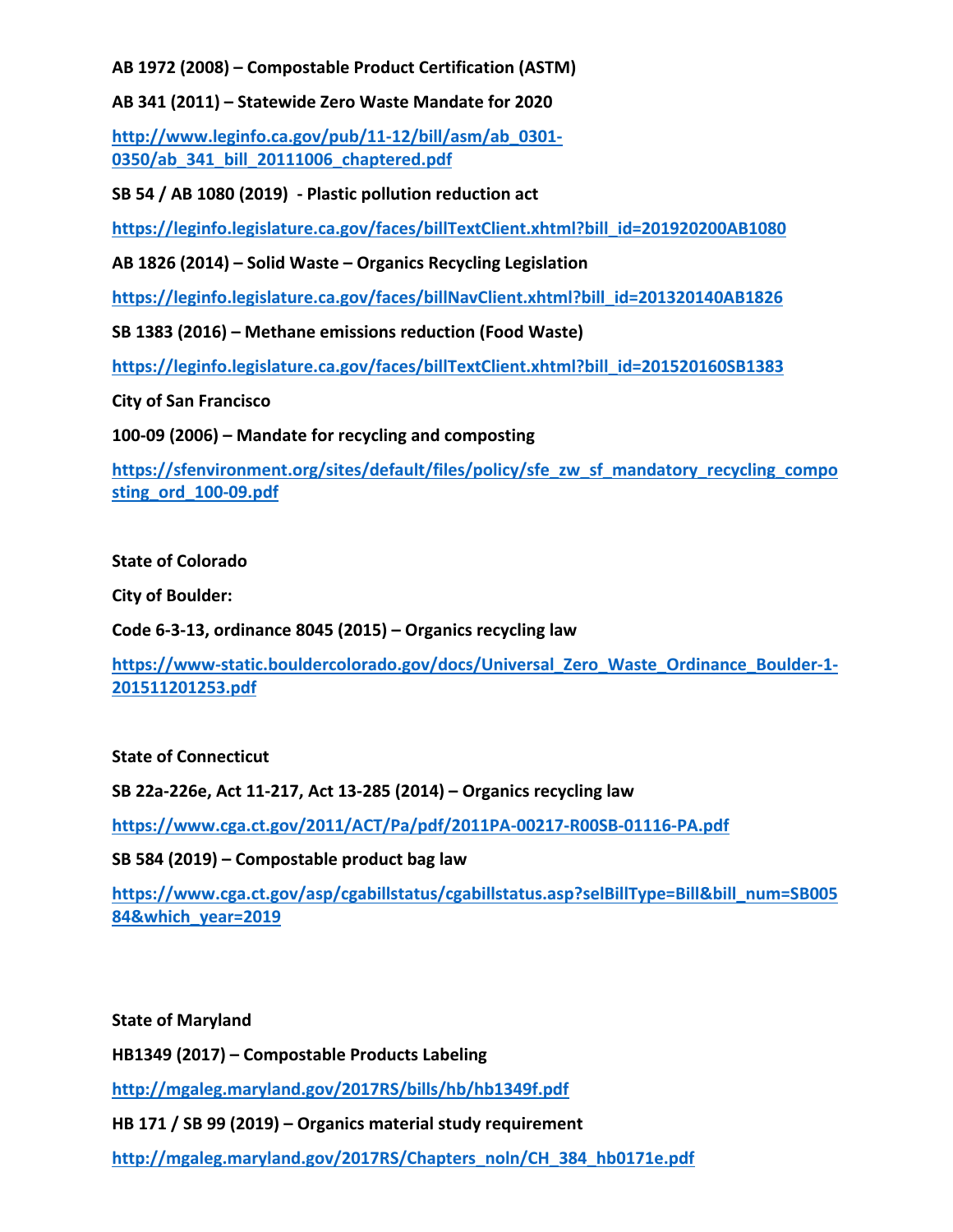**AB 1972 (2008) – Compostable Product Certification (ASTM)**

**AB 341 (2011) – Statewide Zero Waste Mandate for 2020**

**[http://www.leginfo.ca.gov/pub/11-12/bill/asm/ab\\_0301-](http://www.leginfo.ca.gov/pub/11-12/bill/asm/ab_0301-0350/ab_341_bill_20111006_chaptered.pdf) [0350/ab\\_341\\_bill\\_20111006\\_chaptered.pdf](http://www.leginfo.ca.gov/pub/11-12/bill/asm/ab_0301-0350/ab_341_bill_20111006_chaptered.pdf)**

**SB 54 / AB 1080 (2019) - Plastic pollution reduction act**

**[https://leginfo.legislature.ca.gov/faces/billTextClient.xhtml?bill\\_id=201920200AB1080](https://leginfo.legislature.ca.gov/faces/billTextClient.xhtml?bill_id=201920200AB1080)**

**AB 1826 (2014) – Solid Waste – Organics Recycling Legislation**

**[https://leginfo.legislature.ca.gov/faces/billNavClient.xhtml?bill\\_id=201320140AB1826](https://leginfo.legislature.ca.gov/faces/billNavClient.xhtml?bill_id=201320140AB1826)**

**SB 1383 (2016) – Methane emissions reduction (Food Waste)**

**[https://leginfo.legislature.ca.gov/faces/billTextClient.xhtml?bill\\_id=201520160SB1383](https://leginfo.legislature.ca.gov/faces/billTextClient.xhtml?bill_id=201520160SB1383)**

**City of San Francisco**

**100-09 (2006) – Mandate for recycling and composting**

**[https://sfenvironment.org/sites/default/files/policy/sfe\\_zw\\_sf\\_mandatory\\_recycling\\_compo](https://sfenvironment.org/sites/default/files/policy/sfe_zw_sf_mandatory_recycling_composting_ord_100-09.pdf) [sting\\_ord\\_100-09.pdf](https://sfenvironment.org/sites/default/files/policy/sfe_zw_sf_mandatory_recycling_composting_ord_100-09.pdf)**

#### **State of Colorado**

**City of Boulder:**

**Code 6-3-13, ordinance 8045 (2015) – Organics recycling law**

**[https://www-static.bouldercolorado.gov/docs/Universal\\_Zero\\_Waste\\_Ordinance\\_Boulder-1-](https://www-static.bouldercolorado.gov/docs/Universal_Zero_Waste_Ordinance_Boulder-1-201511201253.pdf) [201511201253.pdf](https://www-static.bouldercolorado.gov/docs/Universal_Zero_Waste_Ordinance_Boulder-1-201511201253.pdf)**

#### **State of Connecticut**

**SB 22a-226e, Act 11-217, Act 13-285 (2014) – Organics recycling law**

**<https://www.cga.ct.gov/2011/ACT/Pa/pdf/2011PA-00217-R00SB-01116-PA.pdf>**

**SB 584 (2019) – Compostable product bag law**

**[https://www.cga.ct.gov/asp/cgabillstatus/cgabillstatus.asp?selBillType=Bill&bill\\_num=SB005](https://www.cga.ct.gov/asp/cgabillstatus/cgabillstatus.asp?selBillType=Bill&bill_num=SB00584&which_year=2019) [84&which\\_year=2019](https://www.cga.ct.gov/asp/cgabillstatus/cgabillstatus.asp?selBillType=Bill&bill_num=SB00584&which_year=2019)**

**State of Maryland**

**HB1349 (2017) – Compostable Products Labeling**

**<http://mgaleg.maryland.gov/2017RS/bills/hb/hb1349f.pdf>**

**HB 171 / SB 99 (2019) – Organics material study requirement**

**[http://mgaleg.maryland.gov/2017RS/Chapters\\_noln/CH\\_384\\_hb0171e.pdf](http://mgaleg.maryland.gov/2017RS/Chapters_noln/CH_384_hb0171e.pdf)**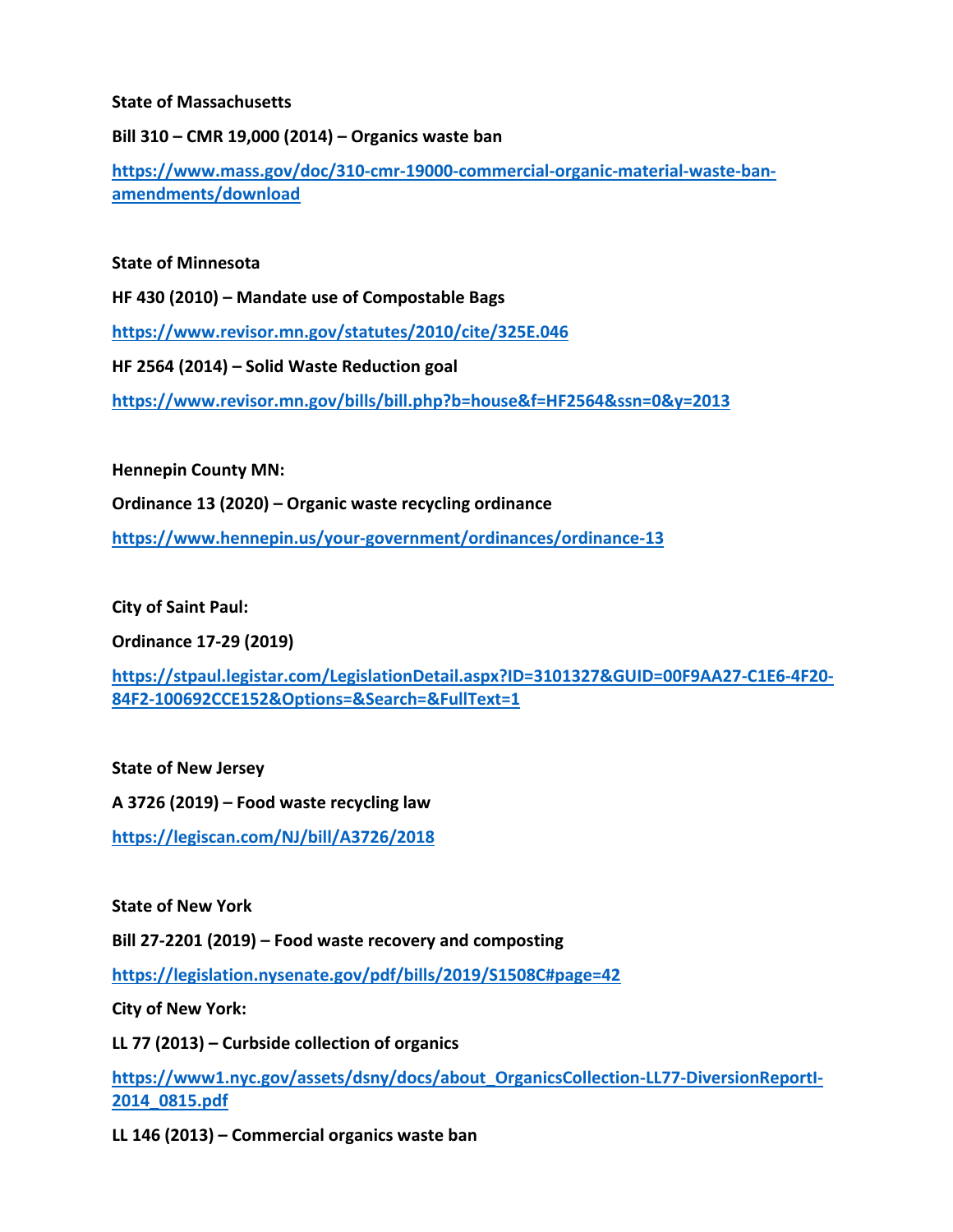#### **State of Massachusetts**

**Bill 310 – CMR 19,000 (2014) – Organics waste ban**

**[https://www.mass.gov/doc/310-cmr-19000-commercial-organic-material-waste-ban](https://www.mass.gov/doc/310-cmr-19000-commercial-organic-material-waste-ban-amendments/download)[amendments/download](https://www.mass.gov/doc/310-cmr-19000-commercial-organic-material-waste-ban-amendments/download)**

#### **State of Minnesota**

**HF 430 (2010) – Mandate use of Compostable Bags**

**<https://www.revisor.mn.gov/statutes/2010/cite/325E.046>**

**HF 2564 (2014) – Solid Waste Reduction goal**

**<https://www.revisor.mn.gov/bills/bill.php?b=house&f=HF2564&ssn=0&y=2013>**

**Hennepin County MN:**

**Ordinance 13 (2020) – Organic waste recycling ordinance**

**<https://www.hennepin.us/your-government/ordinances/ordinance-13>**

**City of Saint Paul:**

**Ordinance 17-29 (2019)**

**[https://stpaul.legistar.com/LegislationDetail.aspx?ID=3101327&GUID=00F9AA27-C1E6-4F20-](https://stpaul.legistar.com/LegislationDetail.aspx?ID=3101327&GUID=00F9AA27-C1E6-4F20-84F2-100692CCE152&Options=&Search=&FullText=1) [84F2-100692CCE152&Options=&Search=&FullText=1](https://stpaul.legistar.com/LegislationDetail.aspx?ID=3101327&GUID=00F9AA27-C1E6-4F20-84F2-100692CCE152&Options=&Search=&FullText=1)**

**State of New Jersey**

**A 3726 (2019) – Food waste recycling law**

**<https://legiscan.com/NJ/bill/A3726/2018>**

**State of New York**

**Bill 27-2201 (2019) – Food waste recovery and composting**

**<https://legislation.nysenate.gov/pdf/bills/2019/S1508C#page=42>**

**City of New York:**

**LL 77 (2013) – Curbside collection of organics**

**[https://www1.nyc.gov/assets/dsny/docs/about\\_OrganicsCollection-LL77-DiversionReportI-](https://www1.nyc.gov/assets/dsny/docs/about_OrganicsCollection-LL77-DiversionReportI-2014_0815.pdf)[2014\\_0815.pdf](https://www1.nyc.gov/assets/dsny/docs/about_OrganicsCollection-LL77-DiversionReportI-2014_0815.pdf)**

**LL 146 (2013) – Commercial organics waste ban**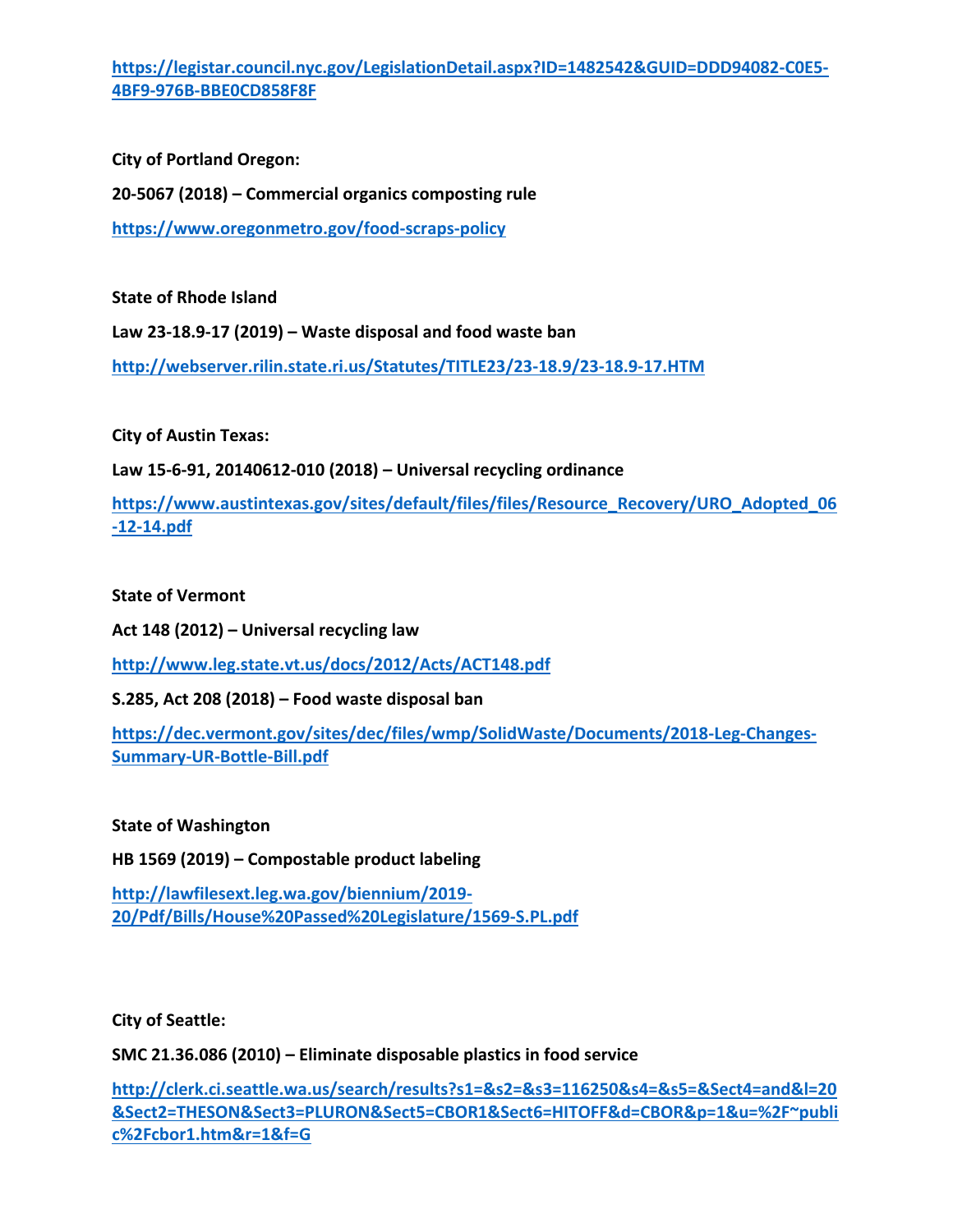**[https://legistar.council.nyc.gov/LegislationDetail.aspx?ID=1482542&GUID=DDD94082-C0E5-](https://legistar.council.nyc.gov/LegislationDetail.aspx?ID=1482542&GUID=DDD94082-C0E5-4BF9-976B-BBE0CD858F8F) [4BF9-976B-BBE0CD858F8F](https://legistar.council.nyc.gov/LegislationDetail.aspx?ID=1482542&GUID=DDD94082-C0E5-4BF9-976B-BBE0CD858F8F)**

**City of Portland Oregon: 20-5067 (2018) – Commercial organics composting rule <https://www.oregonmetro.gov/food-scraps-policy>**

**State of Rhode Island**

**Law 23-18.9-17 (2019) – Waste disposal and food waste ban**

**<http://webserver.rilin.state.ri.us/Statutes/TITLE23/23-18.9/23-18.9-17.HTM>**

**City of Austin Texas:**

**Law 15-6-91, 20140612-010 (2018) – Universal recycling ordinance**

**[https://www.austintexas.gov/sites/default/files/files/Resource\\_Recovery/URO\\_Adopted\\_06](https://www.austintexas.gov/sites/default/files/files/Resource_Recovery/URO_Adopted_06-12-14.pdf) [-12-14.pdf](https://www.austintexas.gov/sites/default/files/files/Resource_Recovery/URO_Adopted_06-12-14.pdf)**

**State of Vermont**

**Act 148 (2012) – Universal recycling law**

**<http://www.leg.state.vt.us/docs/2012/Acts/ACT148.pdf>**

**S.285, Act 208 (2018) – Food waste disposal ban**

**[https://dec.vermont.gov/sites/dec/files/wmp/SolidWaste/Documents/2018-Leg-Changes-](https://dec.vermont.gov/sites/dec/files/wmp/SolidWaste/Documents/2018-Leg-Changes-Summary-UR-Bottle-Bill.pdf)[Summary-UR-Bottle-Bill.pdf](https://dec.vermont.gov/sites/dec/files/wmp/SolidWaste/Documents/2018-Leg-Changes-Summary-UR-Bottle-Bill.pdf)**

**State of Washington**

**HB 1569 (2019) – Compostable product labeling**

**[http://lawfilesext.leg.wa.gov/biennium/2019-](http://lawfilesext.leg.wa.gov/biennium/2019-20/Pdf/Bills/House%20Passed%20Legislature/1569-S.PL.pdf) [20/Pdf/Bills/House%20Passed%20Legislature/1569-S.PL.pdf](http://lawfilesext.leg.wa.gov/biennium/2019-20/Pdf/Bills/House%20Passed%20Legislature/1569-S.PL.pdf)**

**City of Seattle:**

**SMC 21.36.086 (2010) – Eliminate disposable plastics in food service**

**[http://clerk.ci.seattle.wa.us/search/results?s1=&s2=&s3=116250&s4=&s5=&Sect4=and&l=20](http://clerk.ci.seattle.wa.us/search/results?s1=&s2=&s3=116250&s4=&s5=&Sect4=and&l=20&Sect2=THESON&Sect3=PLURON&Sect5=CBOR1&Sect6=HITOFF&d=CBOR&p=1&u=%2F~public%2Fcbor1.htm&r=1&f=G) [&Sect2=THESON&Sect3=PLURON&Sect5=CBOR1&Sect6=HITOFF&d=CBOR&p=1&u=%2F~publi](http://clerk.ci.seattle.wa.us/search/results?s1=&s2=&s3=116250&s4=&s5=&Sect4=and&l=20&Sect2=THESON&Sect3=PLURON&Sect5=CBOR1&Sect6=HITOFF&d=CBOR&p=1&u=%2F~public%2Fcbor1.htm&r=1&f=G) [c%2Fcbor1.htm&r=1&f=G](http://clerk.ci.seattle.wa.us/search/results?s1=&s2=&s3=116250&s4=&s5=&Sect4=and&l=20&Sect2=THESON&Sect3=PLURON&Sect5=CBOR1&Sect6=HITOFF&d=CBOR&p=1&u=%2F~public%2Fcbor1.htm&r=1&f=G)**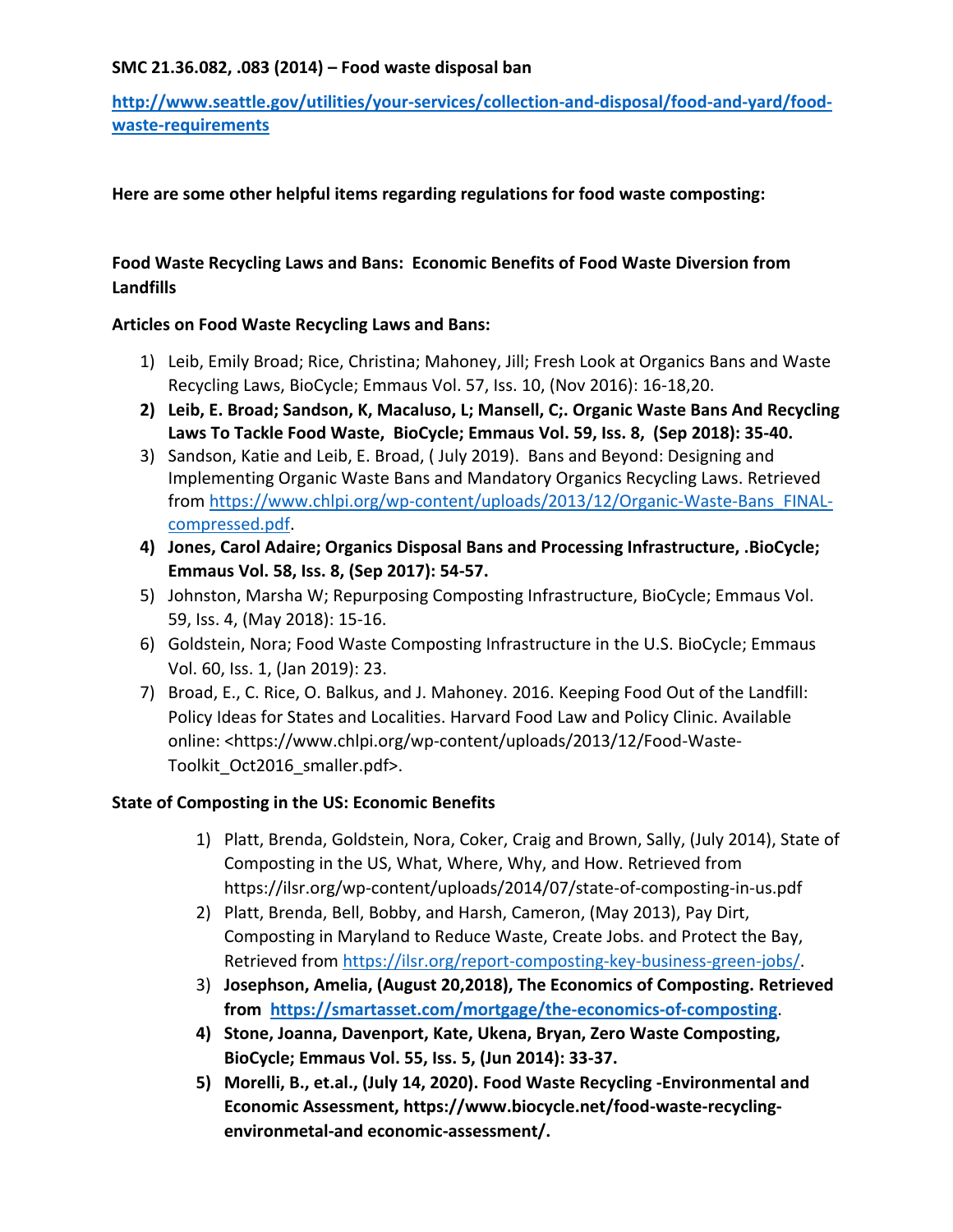### **SMC 21.36.082, .083 (2014) – Food waste disposal ban**

**[http://www.seattle.gov/utilities/your-services/collection-and-disposal/food-and-yard/food](http://www.seattle.gov/utilities/your-services/collection-and-disposal/food-and-yard/food-waste-requirements)[waste-requirements](http://www.seattle.gov/utilities/your-services/collection-and-disposal/food-and-yard/food-waste-requirements)**

### **Here are some other helpful items regarding regulations for food waste composting:**

## **Food Waste Recycling Laws and Bans: Economic Benefits of Food Waste Diversion from Landfills**

### **Articles on Food Waste Recycling Laws and Bans:**

- 1) Leib, Emily Broad; Rice, Christina; Mahoney, Jill; Fresh Look at Organics Bans and Waste Recycling Laws, BioCycle; Emmaus Vol. 57, Iss. 10, (Nov 2016): 16-18,20.
- **2) [Leib, E. Broad;](https://search-proquest-com.eresources.mssm.edu/indexinglinkhandler/sng/au/Leib,+E+Broad/$N?accountid=41157) [Sandson, K,](https://search-proquest-com.eresources.mssm.edu/indexinglinkhandler/sng/au/Sandson,+K/$N?accountid=41157) [Macaluso, L;](https://search-proquest-com.eresources.mssm.edu/indexinglinkhandler/sng/au/Macaluso,+L/$N?accountid=41157) [Mansell, C;](https://search-proquest-com.eresources.mssm.edu/indexinglinkhandler/sng/au/Mansell,+C/$N?accountid=41157). Organic Waste Bans And Recycling Laws To Tackle Food Waste, [BioCycle;](https://search-proquest-com.eresources.mssm.edu/pubidlinkhandler/sng/pubtitle/BioCycle/$N/41387/PagePdf/2108805085/fulltextPDF/7C6E0F8C805B4003PQ/1?accountid=41157) Emmaus [Vol.](https://search-proquest-com.eresources.mssm.edu/indexingvolumeissuelinkhandler/41387/BioCycle/02018Y09Y01$23Sep+2018$3b++Vol.+59+$288$29/59/8?accountid=41157) 59, Iss. 8, (Sep 2018): 35-40.**
- 3) Sandson, Katie and Leib, E. Broad, ( July 2019). Bans and Beyond: Designing and Implementing Organic Waste Bans and Mandatory Organics Recycling Laws. Retrieved from [https://www.chlpi.org/wp-content/uploads/2013/12/Organic-Waste-Bans\\_FINAL](https://www.chlpi.org/wp-content/uploads/2013/12/Organic-Waste-Bans_FINAL-compressed.pdf)[compressed.pdf.](https://www.chlpi.org/wp-content/uploads/2013/12/Organic-Waste-Bans_FINAL-compressed.pdf)
- **4) Jones, Carol Adaire; Organics Disposal Bans and Processing Infrastructure, .BioCycle; Emmaus Vol. 58, Iss. 8, (Sep 2017): 54-57.**
- 5) Johnston, Marsha W; Repurposing Composting Infrastructure, BioCycle; Emmaus Vol. 59, Iss. 4, (May 2018): 15-16.
- 6) Goldstein, Nora; Food Waste Composting Infrastructure in the U.S. BioCycle; Emmaus Vol. 60, Iss. 1, (Jan 2019): 23.
- 7) Broad, E., C. Rice, O. Balkus, and J. Mahoney. 2016. Keeping Food Out of the Landfill: Policy Ideas for States and Localities. Harvard Food Law and Policy Clinic. Available online: <https://www.chlpi.org/wp-content/uploads/2013/12/Food-Waste-Toolkit\_Oct2016\_smaller.pdf>.

## **State of Composting in the US: Economic Benefits**

- 1) Platt, Brenda, Goldstein, Nora, Coker, Craig and Brown, Sally, (July 2014), State of Composting in the US, What, Where, Why, and How. Retrieved from https://ilsr.org/wp-content/uploads/2014/07/state-of-composting-in-us.pdf
- 2) Platt, Brenda, Bell, Bobby, and Harsh, Cameron, (May 2013), Pay Dirt, Composting in Maryland to Reduce Waste, Create Jobs. and Protect the Bay, Retrieved from [https://ilsr.org/report-composting-key-business-green-jobs/.](https://ilsr.org/report-composting-key-business-green-jobs/)
- 3) **Josephson, Amelia, (August 20,2018), The Economics of Composting. Retrieved from<https://smartasset.com/mortgage/the-economics-of-composting>**.
- **4) Stone, Joanna, Davenport, Kate, Ukena, Bryan, Zero Waste Composting, BioCycle; Emmaus Vol. 55, Iss. 5, (Jun 2014): 33-37.**
- **5) Morelli, B., et.al., (July 14, 2020). Food Waste Recycling -Environmental and Economic Assessment, https://www.biocycle.net/food-waste-recyclingenvironmetal-and economic-assessment/.**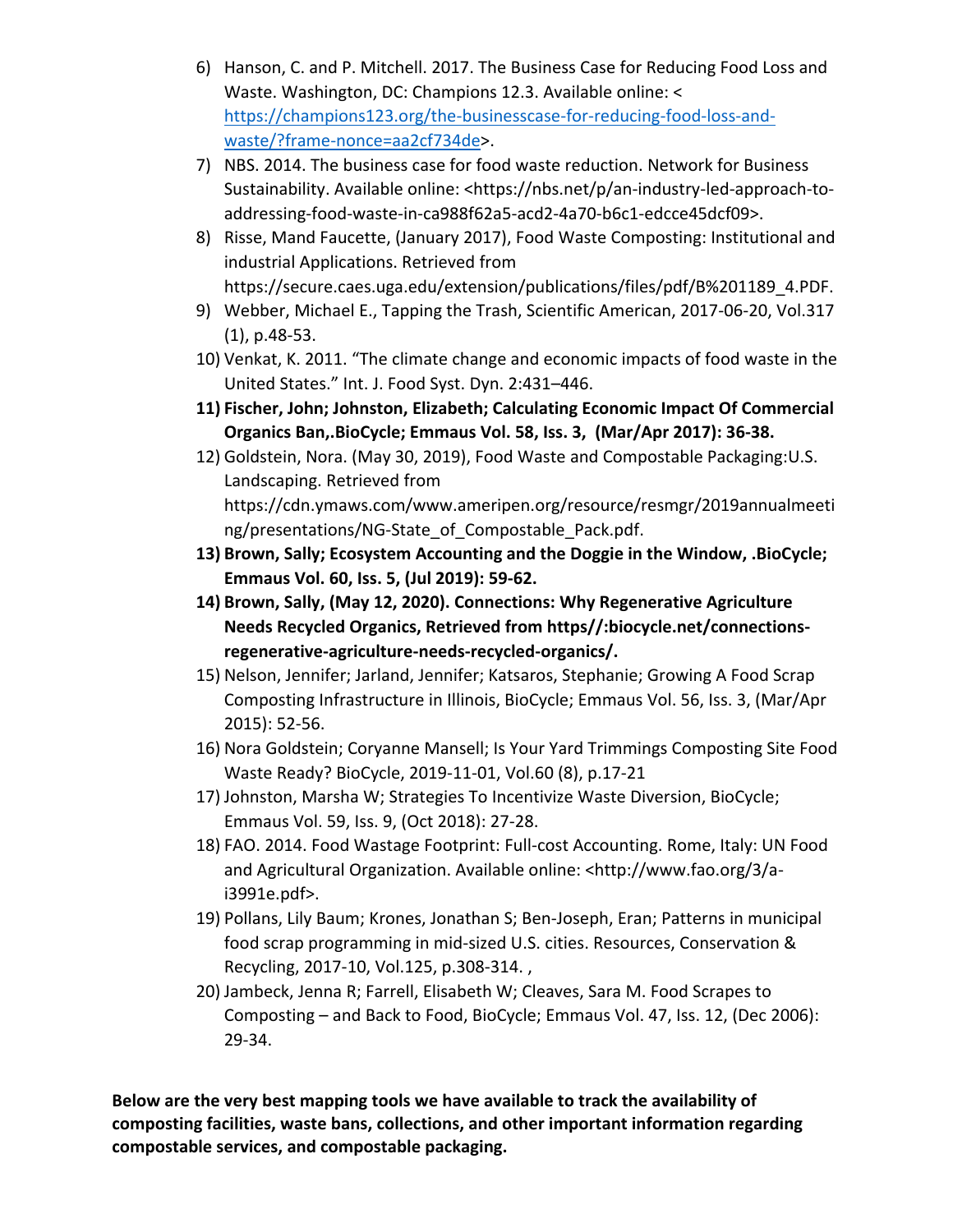- 6) Hanson, C. and P. Mitchell. 2017. The Business Case for Reducing Food Loss and Waste. Washington, DC: Champions 12.3. Available online: < [https://champions123.org/the-businesscase-for-reducing-food-loss-and](https://champions123.org/the-businesscase-for-reducing-food-loss-and-waste/?frame-nonce=aa2cf734de)[waste/?frame-nonce=aa2cf734de>](https://champions123.org/the-businesscase-for-reducing-food-loss-and-waste/?frame-nonce=aa2cf734de).
- 7) NBS. 2014. The business case for food waste reduction. Network for Business Sustainability. Available online: <https://nbs.net/p/an-industry-led-approach-toaddressing-food-waste-in-ca988f62a5-acd2-4a70-b6c1-edcce45dcf09>.
- 8) Risse, Mand Faucette, (January 2017), Food Waste Composting: Institutional and industrial Applications. Retrieved from https://secure.caes.uga.edu/extension/publications/files/pdf/B%201189\_4.PDF.
- 9) Webber, Michael E., Tapping the Trash, Scientific American, 2017-06-20, Vol.317 (1), p.48-53.
- 10) Venkat, K. 2011. "The climate change and economic impacts of food waste in the United States." Int. J. Food Syst. Dyn. 2:431–446.
- **11) Fischer, John; Johnston, Elizabeth; Calculating Economic Impact Of Commercial Organics Ban,.BioCycle; Emmaus Vol. 58, Iss. 3, (Mar/Apr 2017): 36-38.**
- 12) Goldstein, Nora. (May 30, 2019), Food Waste and Compostable Packaging:U.S. Landscaping. Retrieved from https://cdn.ymaws.com/www.ameripen.org/resource/resmgr/2019annualmeeti ng/presentations/NG-State of Compostable Pack.pdf.
- **13) Brown, Sally; Ecosystem Accounting and the Doggie in the Window, .BioCycle; Emmaus Vol. 60, Iss. 5, (Jul 2019): 59-62.**
- **14) Brown, Sally, (May 12, 2020). Connections: Why Regenerative Agriculture Needs Recycled Organics, Retrieved from https//:biocycle.net/connectionsregenerative-agriculture-needs-recycled-organics/.**
- 15) Nelson, Jennifer; Jarland, Jennifer; Katsaros, Stephanie; Growing A Food Scrap Composting Infrastructure in Illinois, BioCycle; Emmaus Vol. 56, Iss. 3, (Mar/Apr 2015): 52-56.
- 16) Nora Goldstein; Coryanne Mansell; Is Your Yard Trimmings Composting Site Food Waste Ready? BioCycle, 2019-11-01, Vol.60 (8), p.17-21
- 17) Johnston, Marsha W; Strategies To Incentivize Waste Diversion, BioCycle; Emmaus Vol. 59, Iss. 9, (Oct 2018): 27-28.
- 18) FAO. 2014. Food Wastage Footprint: Full-cost Accounting. Rome, Italy: UN Food and Agricultural Organization. Available online: <http://www.fao.org/3/ai3991e.pdf>.
- 19) Pollans, Lily Baum; Krones, Jonathan S; Ben-Joseph, Eran; Patterns in municipal food scrap programming in mid-sized U.S. cities. Resources, Conservation & Recycling, 2017-10, Vol.125, p.308-314. ,
- 20) Jambeck, Jenna R; Farrell, Elisabeth W; Cleaves, Sara M. Food Scrapes to Composting – and Back to Food, BioCycle; Emmaus Vol. 47, Iss. 12, (Dec 2006): 29-34.

**Below are the very best mapping tools we have available to track the availability of composting facilities, waste bans, collections, and other important information regarding compostable services, and compostable packaging.**